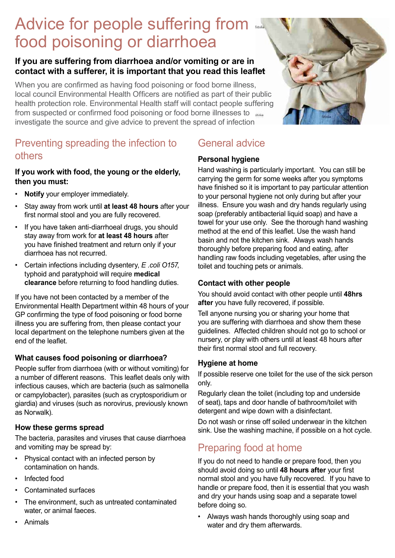# Advice for people suffering from food poisoning or diarrhoea

### **If you are suffering from diarrhoea and/or vomiting or are in contact with a sufferer, it is important that you read this leaflet**

When you are confirmed as having food poisoning or food borne illness, local council Environmental Health Officers are notified as part of their public health protection role. Environmental Health staff will contact people suffering from suspected or confirmed food poisoning or food borne illnesses to investigate the source and give advice to prevent the spread of infection



**If you work with food, the young or the elderly, then you must:**

- **Notify** your employer immediately.
- Stay away from work until **at least 48 hours** after your first normal stool and you are fully recovered.
- If you have taken anti-diarrhoeal drugs, you should stay away from work for **at least 48 hours** after you have finished treatment and return only if your diarrhoea has not recurred.
- Certain infections including dysentery, *E .coli O157*, typhoid and paratyphoid will require **medical clearance** before returning to food handling duties.

If you have not been contacted by a member of the Environmental Health Department within 48 hours of your GP confirming the type of food poisoning or food borne illness you are suffering from, then please contact your local department on the telephone numbers given at the end of the leaflet.

### **What causes food poisoning or diarrhoea?**

People suffer from diarrhoea (with or without vomiting) for a number of different reasons. This leaflet deals only with infectious causes, which are bacteria (such as salmonella or campylobacter), parasites (such as cryptosporidium or giardia) and viruses (such as norovirus, previously known as Norwalk).

#### **How these germs spread**

The bacteria, parasites and viruses that cause diarrhoea and vomiting may be spread by:

- Physical contact with an infected person by contamination on hands.
- Infected food
- Contaminated surfaces
- The environment, such as untreated contaminated water, or animal faeces.
- Animals

## General advice

### **Personal hygiene**

Hand washing is particularly important. You can still be carrying the germ for some weeks after you symptoms have finished so it is important to pay particular attention to your personal hygiene not only during but after your illness. Ensure you wash and dry hands regularly using soap (preferably antibacterial liquid soap) and have a towel for your use only. See the thorough hand washing method at the end of this leaflet. Use the wash hand basin and not the kitchen sink. Always wash hands thoroughly before preparing food and eating, after handling raw foods including vegetables, after using the toilet and touching pets or animals.

#### **Contact with other people**

You should avoid contact with other people until **48hrs after** you have fully recovered, if possible.

Tell anyone nursing you or sharing your home that you are suffering with diarrhoea and show them these guidelines. Affected children should not go to school or nursery, or play with others until at least 48 hours after their first normal stool and full recovery.

#### **Hygiene at home**

If possible reserve one toilet for the use of the sick person only.

Regularly clean the toilet (including top and underside of seat), taps and door handle of bathroom/toilet with detergent and wipe down with a disinfectant.

Do not wash or rinse off soiled underwear in the kitchen sink. Use the washing machine, if possible on a hot cycle.

### Preparing food at home

If you do not need to handle or prepare food, then you should avoid doing so until **48 hours after** your first normal stool and you have fully recovered. If you have to handle or prepare food, then it is essential that you wash and dry your hands using soap and a separate towel before doing so.

• Always wash hands thoroughly using soap and water and dry them afterwards.